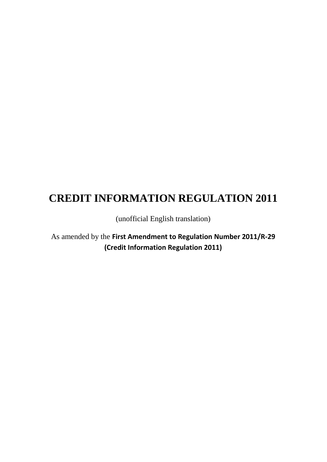# **CREDIT INFORMATION REGULATION 2011**

(unofficial English translation)

As amended by the **First Amendment to Regulation Number 2011/R-29 (Credit Information Regulation 2011)**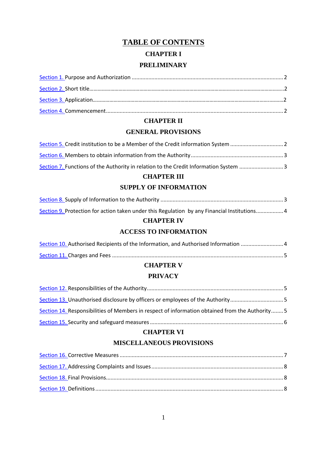# **TABLE OF CONTENTS CHAPTER I PRELIMINARY**

#### **CHAPTER II**

#### **GENERAL PROVISIONS**

| Section 5. Credit institution to be a Member of the Credit information System 2      |  |
|--------------------------------------------------------------------------------------|--|
|                                                                                      |  |
| Section 7. Functions of the Authority in relation to the Credit Information System 3 |  |

#### **CHAPTER III**

#### **SUPPLY OF INFORMATION**

| Section 9. Protection for action taken under this Regulation by any Financial Institutions 4 |  |
|----------------------------------------------------------------------------------------------|--|

#### **CHAPTER IV**

#### **ACCESS TO INFORMATION**

| Section 10. Authorised Recipients of the Information, and Authorised Information 4 |  |
|------------------------------------------------------------------------------------|--|
|                                                                                    |  |

#### **CHAPTER V**

#### **PRIVACY**

| Section 13. Unauthorised disclosure by officers or employees of the Authority5                  |  |
|-------------------------------------------------------------------------------------------------|--|
| Section 14. Responsibilities of Members in respect of information obtained from the Authority 5 |  |
|                                                                                                 |  |

#### **CHAPTER VI**

#### **MISCELLANEOUS PROVISIONS**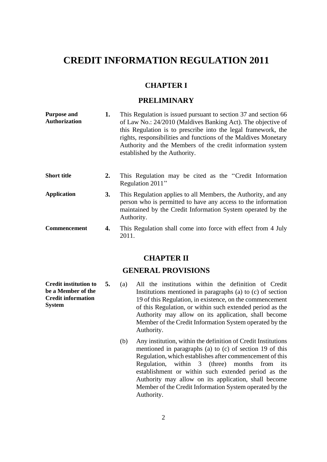## **CREDIT INFORMATION REGULATION 2011**

#### **CHAPTER I**

### **PRELIMINARY**

<span id="page-2-2"></span><span id="page-2-1"></span><span id="page-2-0"></span>

| <b>Purpose and</b><br><b>Authorization</b> | 1. | This Regulation is issued pursuant to section 37 and section 66<br>of Law No.: 24/2010 (Maldives Banking Act). The objective of<br>this Regulation is to prescribe into the legal framework, the<br>rights, responsibilities and functions of the Maldives Monetary<br>Authority and the Members of the credit information system<br>established by the Authority. |
|--------------------------------------------|----|--------------------------------------------------------------------------------------------------------------------------------------------------------------------------------------------------------------------------------------------------------------------------------------------------------------------------------------------------------------------|
| <b>Short title</b>                         | 2. | This Regulation may be cited as the "Credit Information"<br>Regulation 2011"                                                                                                                                                                                                                                                                                       |
| <b>Application</b>                         | 3. | This Regulation applies to all Members, the Authority, and any<br>person who is permitted to have any access to the information<br>maintained by the Credit Information System operated by the<br>Authority.                                                                                                                                                       |
| Commencement                               | 4. | This Regulation shall come into force with effect from 4 July<br>2011.                                                                                                                                                                                                                                                                                             |

#### **CHAPTER II**

### **GENERAL PROVISIONS**

**5.** (a) All the institutions within the definition of Credit Institutions mentioned in paragraphs (a) to (c) of section 19 of this Regulation, in existence, on the commencement of this Regulation, or within such extended period as the Authority may allow on its application, shall become Member of the Credit Information System operated by the Authority.

> (b) Any institution, within the definition of Credit Institutions mentioned in paragraphs (a) to (c) of section 19 of this Regulation, which establishes after commencement of this Regulation, within 3 (three) months from its establishment or within such extended period as the Authority may allow on its application, shall become Member of the Credit Information System operated by the Authority.

<span id="page-2-4"></span><span id="page-2-3"></span>**Credit institution to be a Member of the Credit information System**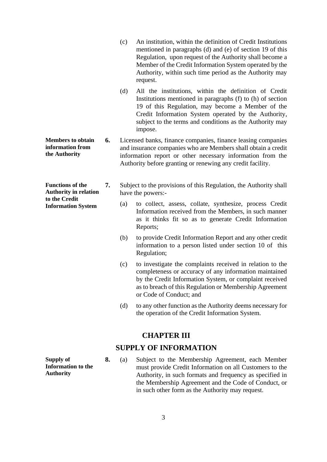- (c) An institution, within the definition of Credit Institutions mentioned in paragraphs (d) and (e) of section 19 of this Regulation, upon request of the Authority shall become a Member of the Credit Information System operated by the Authority, within such time period as the Authority may request.
- (d) All the institutions, within the definition of Credit Institutions mentioned in paragraphs (f) to (h) of section 19 of this Regulation, may become a Member of the Credit Information System operated by the Authority, subject to the terms and conditions as the Authority may impose.
- <span id="page-3-0"></span>**Members to obtain information from the Authority 6.** Licensed banks, finance companies, finance leasing companies and insurance companies who are Members shall obtain a credit information report or other necessary information from the Authority before granting or renewing any credit facility.

<span id="page-3-1"></span>**Functions of the Authority in relation to the Credit Information System**

- **7.** Subject to the provisions of this Regulation, the Authority shall have the powers:-
	- (a) to collect, assess, collate, synthesize, process Credit Information received from the Members, in such manner as it thinks fit so as to generate Credit Information Reports;
	- (b) to provide Credit Information Report and any other credit information to a person listed under section 10 of this Regulation;
	- (c) to investigate the complaints received in relation to the completeness or accuracy of any information maintained by the Credit Information System, or complaint received as to breach of this Regulation or Membership Agreement or Code of Conduct; and
	- (d) to any other function as the Authority deems necessary for the operation of the Credit Information System.

#### **CHAPTER III**

### **SUPPLY OF INFORMATION**

<span id="page-3-2"></span>**Supply of Information to the Authority**

**8.** (a) Subject to the Membership Agreement, each Member must provide Credit Information on all Customers to the Authority, in such formats and frequency as specified in the Membership Agreement and the Code of Conduct, or in such other form as the Authority may request.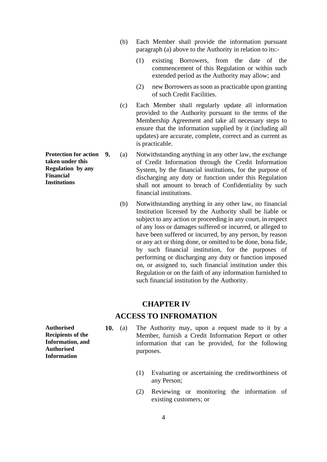- (b) Each Member shall provide the information pursuant paragraph (a) above to the Authority in relation to its:-
	- (1) existing Borrowers, from the date of the commencement of this Regulation or within such extended period as the Authority may allow; and
	- (2) new Borrowers as soon as practicable upon granting of such Credit Facilities.
- (c) Each Member shall regularly update all information provided to the Authority pursuant to the terms of the Membership Agreement and take all necessary steps to ensure that the information supplied by it (including all updates) are accurate, complete, correct and as current as is practicable.
- **9.** (a) Notwithstanding anything in any other law, the exchange of Credit Information through the Credit Information System, by the financial institutions, for the purpose of discharging any duty or function under this Regulation shall not amount to breach of Confidentiality by such financial institutions.
- (b) Notwithstanding anything in any other law, no financial Institution licensed by the Authority shall be liable or subject to any action or proceeding in any court, in respect of any loss or damages suffered or incurred, or alleged to have been suffered or incurred, by any person, by reason or any act or thing done, or omitted to be done, bona fide, by such financial institution, for the purposes of performing or discharging any duty or function imposed on, or assigned to, such financial institution under this Regulation or on the faith of any information furnished to such financial institution by the Authority.

#### **CHAPTER IV**

#### **ACCESS TO INFROMATION**

- <span id="page-4-1"></span>**Authorised Recipients of the Information, and Authorised Information**
- **10.** (a) The Authority may, upon a request made to it by a Member, furnish a Credit Information Report or other information that can be provided, for the following purposes.
	- (1) Evaluating or ascertaining the creditworthiness of any Person;
	- (2) Reviewing or monitoring the information of existing customers; or

<span id="page-4-0"></span>**Protection for action taken under this Regulation by any Financial Institutions**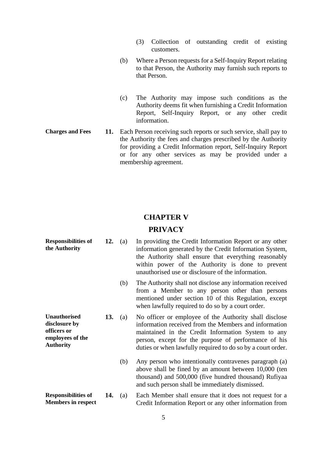- (3) Collection of outstanding credit of existing customers.
- (b) Where a Person requests for a Self-Inquiry Report relating to that Person, the Authority may furnish such reports to that Person.
- (c) The Authority may impose such conditions as the Authority deems fit when furnishing a Credit Information Report, Self-Inquiry Report, or any other credit information.
- <span id="page-5-0"></span>**Charges and Fees 11.** Each Person receiving such reports or such service, shall pay to the Authority the fees and charges prescribed by the Authority for providing a Credit Information report, Self-Inquiry Report or for any other services as may be provided under a membership agreement.

# **CHAPTER V**

#### **PRIVACY**

<span id="page-5-3"></span><span id="page-5-2"></span><span id="page-5-1"></span>**Responsibilities of the Authority 12.** (a) In providing the Credit Information Report or any other information generated by the Credit Information System, the Authority shall ensure that everything reasonably within power of the Authority is done to prevent unauthorised use or disclosure of the information. (b) The Authority shall not disclose any information received from a Member to any person other than persons mentioned under section 10 of this Regulation, except when lawfully required to do so by a court order. **Unauthorised disclosure by officers or employees of the Authority 13.** (a) No officer or employee of the Authority shall disclose information received from the Members and information maintained in the Credit Information System to any person, except for the purpose of performance of his duties or when lawfully required to do so by a court order. (b) Any person who intentionally contravenes paragraph (a) above shall be fined by an amount between 10,000 (ten thousand) and 500,000 (five hundred thousand) Rufiyaa and such person shall be immediately dismissed. **Responsibilities of Members in respect 14.** (a) Each Member shall ensure that it does not request for a Credit Information Report or any other information from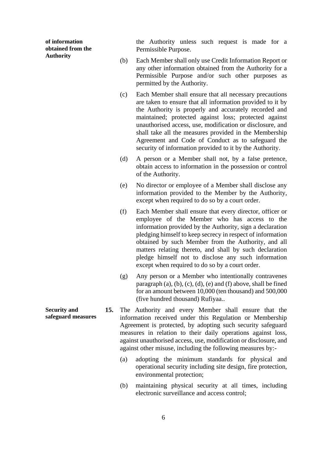**of information obtained from the Authority**

the Authority unless such request is made for a Permissible Purpose.

- (b) Each Member shall only use Credit Information Report or any other information obtained from the Authority for a Permissible Purpose and/or such other purposes as permitted by the Authority.
- (c) Each Member shall ensure that all necessary precautions are taken to ensure that all information provided to it by the Authority is properly and accurately recorded and maintained; protected against loss; protected against unauthorised access, use, modification or disclosure, and shall take all the measures provided in the Membership Agreement and Code of Conduct as to safeguard the security of information provided to it by the Authority.
- (d) A person or a Member shall not, by a false pretence, obtain access to information in the possession or control of the Authority.
- (e) No director or employee of a Member shall disclose any information provided to the Member by the Authority, except when required to do so by a court order.
- (f) Each Member shall ensure that every director, officer or employee of the Member who has access to the information provided by the Authority, sign a declaration pledging himself to keep secrecy in respect of information obtained by such Member from the Authority, and all matters relating thereto, and shall by such declaration pledge himself not to disclose any such information except when required to do so by a court order.
- (g) Any person or a Member who intentionally contravenes paragraph  $(a)$ ,  $(b)$ ,  $(c)$ ,  $(d)$ ,  $(e)$  and  $(f)$  above, shall be fined for an amount between 10,000 (ten thousand) and 500,000 (five hundred thousand) Rufiyaa..
- **15.** The Authority and every Member shall ensure that the information received under this Regulation or Membership Agreement is protected, by adopting such security safeguard measures in relation to their daily operations against loss, against unauthorised access, use, modification or disclosure, and against other misuse, including the following measures by:-
	- (a) adopting the minimum standards for physical and operational security including site design, fire protection, environmental protection;
	- (b) maintaining physical security at all times, including electronic surveillance and access control;

<span id="page-6-0"></span>**Security and safeguard measures**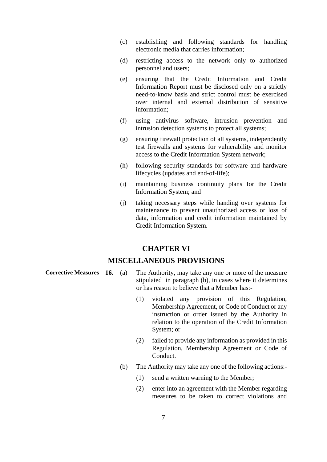- (c) establishing and following standards for handling electronic media that carries information;
- (d) restricting access to the network only to authorized personnel and users;
- (e) ensuring that the Credit Information and Credit Information Report must be disclosed only on a strictly need-to-know basis and strict control must be exercised over internal and external distribution of sensitive information;
- (f) using antivirus software, intrusion prevention and intrusion detection systems to protect all systems;
- (g) ensuring firewall protection of all systems, independently test firewalls and systems for vulnerability and monitor access to the Credit Information System network;
- (h) following security standards for software and hardware lifecycles (updates and end-of-life);
- (i) maintaining business continuity plans for the Credit Information System; and
- (j) taking necessary steps while handing over systems for maintenance to prevent unauthorized access or loss of data, information and credit information maintained by Credit Information System.

#### **CHAPTER VI**

#### **MISCELLANEOUS PROVISIONS**

- <span id="page-7-0"></span>**Corrective Measures 16.** (a) The Authority, may take any one or more of the measure stipulated in paragraph (b), in cases where it determines or has reason to believe that a Member has:-
	- (1) violated any provision of this Regulation, Membership Agreement, or Code of Conduct or any instruction or order issued by the Authority in relation to the operation of the Credit Information System; or
	- (2) failed to provide any information as provided in this Regulation, Membership Agreement or Code of Conduct.
	- (b) The Authority may take any one of the following actions:-
		- (1) send a written warning to the Member;
		- (2) enter into an agreement with the Member regarding measures to be taken to correct violations and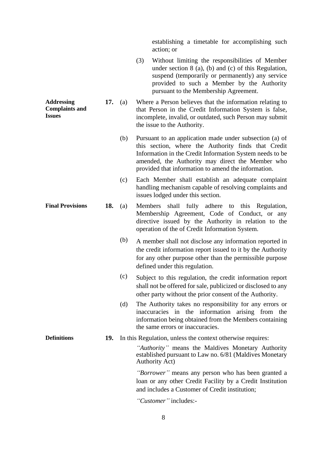establishing a timetable for accomplishing such action; or

- (3) Without limiting the responsibilities of Member under section 8 (a), (b) and (c) of this Regulation, suspend (temporarily or permanently) any service provided to such a Member by the Authority pursuant to the Membership Agreement.
- **17.** (a) Where a Person believes that the information relating to that Person in the Credit Information System is false, incomplete, invalid, or outdated, such Person may submit the issue to the Authority.

<span id="page-8-0"></span>**Addressing Complaints and** 

**Issues**

- (b) Pursuant to an application made under subsection (a) of this section, where the Authority finds that Credit Information in the Credit Information System needs to be amended, the Authority may direct the Member who provided that information to amend the information.
- (c) Each Member shall establish an adequate complaint handling mechanism capable of resolving complaints and issues lodged under this section.
- <span id="page-8-1"></span>**Final Provisions 18.** (a) Members shall fully adhere to this Regulation, Membership Agreement, Code of Conduct, or any directive issued by the Authority in relation to the operation of the of Credit Information System.
	- (b) A member shall not disclose any information reported in the credit information report issued to it by the Authority for any other purpose other than the permissible purpose defined under this regulation.
	- (c) Subject to this regulation, the credit information report shall not be offered for sale, publicized or disclosed to any other party without the prior consent of the Authority.
	- (d) The Authority takes no responsibility for any errors or inaccuracies in the information arising from the information being obtained from the Members containing the same errors or inaccuracies.
- <span id="page-8-2"></span>**Definitions 19.** In this Regulation, unless the context otherwise requires:

*''Authority''* means the Maldives Monetary Authority established pursuant to Law no. 6/81 (Maldives Monetary Authority Act)

*''Borrower''* means any person who has been granted a loan or any other Credit Facility by a Credit Institution and includes a Customer of Credit institution;

*''Customer''* includes:-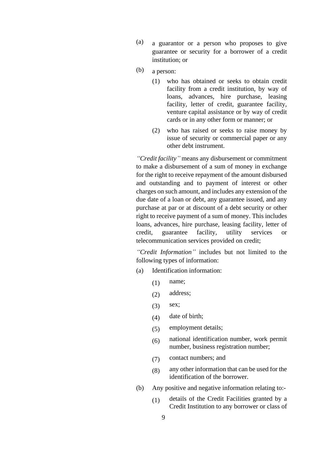- (a) a guarantor or a person who proposes to give guarantee or security for a borrower of a credit institution; or
- (b) a person:
	- (1) who has obtained or seeks to obtain credit facility from a credit institution, by way of loans, advances, hire purchase, leasing facility, letter of credit, guarantee facility, venture capital assistance or by way of credit cards or in any other form or manner; or
	- (2) who has raised or seeks to raise money by issue of security or commercial paper or any other debt instrument.

*''Credit facility''* means any disbursement or commitment to make a disbursement of a sum of money in exchange for the right to receive repayment of the amount disbursed and outstanding and to payment of interest or other charges on such amount, and includes any extension of the due date of a loan or debt, any guarantee issued, and any purchase at par or at discount of a debt security or other right to receive payment of a sum of money. This includes loans, advances, hire purchase, leasing facility, letter of credit, guarantee facility, utility services or telecommunication services provided on credit;

*''Credit Information''* includes but not limited to the following types of information:

- (a) Identification information:
	- $(1)$  name;
	- (2) address;
	- (3) sex;
	- (4) date of birth;
	- (5) employment details;
	- (6) national identification number, work permit number, business registration number;
	- (7) contact numbers; and
	- (8) any other information that can be used for the identification of the borrower.
- (b) Any positive and negative information relating to:-
	- (1) details of the Credit Facilities granted by a Credit Institution to any borrower or class of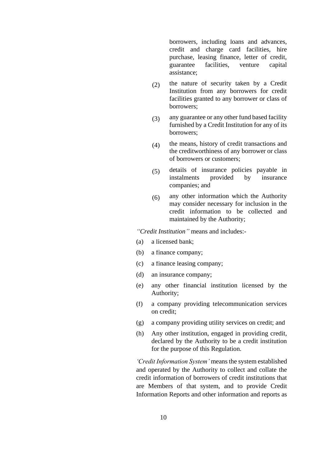borrowers, including loans and advances, credit and charge card facilities, hire purchase, leasing finance, letter of credit, guarantee facilities, venture capital assistance;

- (2) the nature of security taken by a Credit Institution from any borrowers for credit facilities granted to any borrower or class of borrowers;
- (3) any guarantee or any other fund based facility furnished by a Credit Institution for any of its borrowers;
- (4) the means, history of credit transactions and the creditworthiness of any borrower or class of borrowers or customers;
- (5) details of insurance policies payable in<br>instalments provided by insurance instalments companies; and
- (6) any other information which the Authority may consider necessary for inclusion in the credit information to be collected and maintained by the Authority;

*''Credit Institution''* means and includes:-

- (a) a licensed bank;
- (b) a finance company;
- (c) a finance leasing company;
- (d) an insurance company;
- (e) any other financial institution licensed by the Authority;
- (f) a company providing telecommunication services on credit;
- (g) a company providing utility services on credit; and
- (h) Any other institution, engaged in providing credit, declared by the Authority to be a credit institution for the purpose of this Regulation.

*'Credit Information System'* means the system established and operated by the Authority to collect and collate the credit information of borrowers of credit institutions that are Members of that system, and to provide Credit Information Reports and other information and reports as